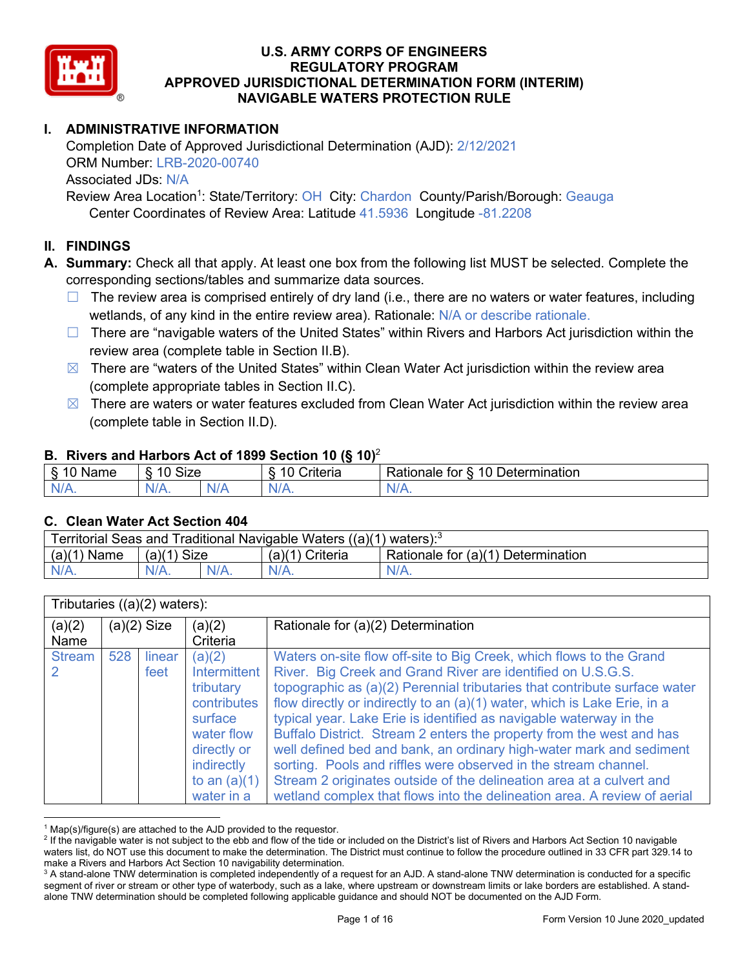

# **I. ADMINISTRATIVE INFORMATION**

Completion Date of Approved Jurisdictional Determination (AJD): 2/12/2021 ORM Number: LRB-2020-00740 Associated JDs: N/A Review Area Location<sup>1</sup>: State/Territory: OH City: Chardon County/Parish/Borough: Geauga

Center Coordinates of Review Area: Latitude 41.5936 Longitude -81.2208

### **II. FINDINGS**

**A. Summary:** Check all that apply. At least one box from the following list MUST be selected. Complete the corresponding sections/tables and summarize data sources.

- $\Box$  The review area is comprised entirely of dry land (i.e., there are no waters or water features, including wetlands, of any kind in the entire review area). Rationale: N/A or describe rationale.
- $\Box$  There are "navigable waters of the United States" within Rivers and Harbors Act jurisdiction within the review area (complete table in Section II.B).
- $\boxtimes$  There are "waters of the United States" within Clean Water Act jurisdiction within the review area (complete appropriate tables in Section II.C).
- $\boxtimes$  There are waters or water features excluded from Clean Water Act jurisdiction within the review area (complete table in Section II.D).

#### **B. Rivers and Harbors Act of 1899 Section 10 (§ 10)**<sup>2</sup>

| 8. 1 C<br><b>Size</b><br>10<br>$\overline{A}$ $\overline{A}$<br><b>Determination</b><br>`riteria<br>tor<br>≺atıonale<br>Name<br>$\blacksquare$ | $\cdot$ |         |                |         |  |  |  |  |
|------------------------------------------------------------------------------------------------------------------------------------------------|---------|---------|----------------|---------|--|--|--|--|
|                                                                                                                                                |         |         |                |         |  |  |  |  |
| $\cdots$                                                                                                                                       | $N/A$ . | $N/A$ . | N <sub>1</sub> | $N/A$ . |  |  |  |  |

#### **C. Clean Water Act Section 404**

| Territorial Seas and Traditional Navigable Waters ((a)(1) waters): $3$ |                           |         |                 |                                    |  |  |  |
|------------------------------------------------------------------------|---------------------------|---------|-----------------|------------------------------------|--|--|--|
| (a)(1)<br>Name                                                         | Size<br>(a)( <sup>1</sup> |         | (a)(1) Criteria | Rationale for (a)(1) Determination |  |  |  |
| $N/A$ .                                                                |                           | $N/A$ . | $N/A$ .         | $N/A$ .                            |  |  |  |

|                | Tributaries $((a)(2)$ waters): |                |                                                                                                                                                 |                                                                                                                                                                                                                                                                                                                                                                                                                                                                                                                                                                                                                                                                                                                                         |  |  |
|----------------|--------------------------------|----------------|-------------------------------------------------------------------------------------------------------------------------------------------------|-----------------------------------------------------------------------------------------------------------------------------------------------------------------------------------------------------------------------------------------------------------------------------------------------------------------------------------------------------------------------------------------------------------------------------------------------------------------------------------------------------------------------------------------------------------------------------------------------------------------------------------------------------------------------------------------------------------------------------------------|--|--|
| (a)(2)<br>Name | $(a)(2)$ Size<br>(a)(2)        |                | Criteria                                                                                                                                        | Rationale for (a)(2) Determination                                                                                                                                                                                                                                                                                                                                                                                                                                                                                                                                                                                                                                                                                                      |  |  |
| <b>Stream</b>  | 528                            | linear<br>feet | (a)(2)<br><b>Intermittent</b><br>tributary<br>contributes<br>surface<br>water flow<br>directly or<br>indirectly<br>to an $(a)(1)$<br>water in a | Waters on-site flow off-site to Big Creek, which flows to the Grand<br>River. Big Creek and Grand River are identified on U.S.G.S.<br>topographic as (a)(2) Perennial tributaries that contribute surface water<br>flow directly or indirectly to an (a)(1) water, which is Lake Erie, in a<br>typical year. Lake Erie is identified as navigable waterway in the<br>Buffalo District. Stream 2 enters the property from the west and has<br>well defined bed and bank, an ordinary high-water mark and sediment<br>sorting. Pools and riffles were observed in the stream channel.<br>Stream 2 originates outside of the delineation area at a culvert and<br>wetland complex that flows into the delineation area. A review of aerial |  |  |

 $1$  Map(s)/figure(s) are attached to the AJD provided to the requestor.

<sup>&</sup>lt;sup>2</sup> If the navigable water is not subject to the ebb and flow of the tide or included on the District's list of Rivers and Harbors Act Section 10 navigable waters list, do NOT use this document to make the determination. The District must continue to follow the procedure outlined in 33 CFR part 329.14 to make a Rivers and Harbors Act Section 10 navigability determination.

<sup>&</sup>lt;sup>3</sup> A stand-alone TNW determination is completed independently of a request for an AJD. A stand-alone TNW determination is conducted for a specific segment of river or stream or other type of waterbody, such as a lake, where upstream or downstream limits or lake borders are established. A standalone TNW determination should be completed following applicable guidance and should NOT be documented on the AJD Form.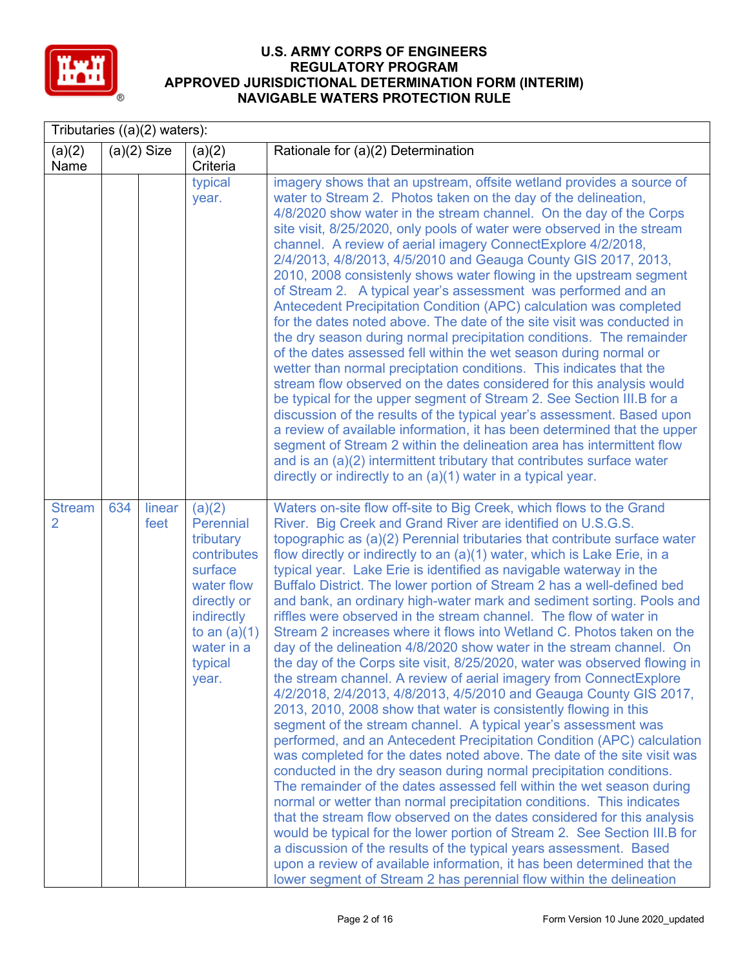

|                                 | Tributaries $((a)(2)$ waters): |                |                                                                                                                                                                  |                                                                                                                                                                                                                                                                                                                                                                                                                                                                                                                                                                                                                                                                                                                                                                                                                                                                                                                                                                                                                                                                                                                                                                                                                                                                                                                                                                                                                                                                                                                                                                                                                                                                                                                                                                                                                                                                         |  |  |  |
|---------------------------------|--------------------------------|----------------|------------------------------------------------------------------------------------------------------------------------------------------------------------------|-------------------------------------------------------------------------------------------------------------------------------------------------------------------------------------------------------------------------------------------------------------------------------------------------------------------------------------------------------------------------------------------------------------------------------------------------------------------------------------------------------------------------------------------------------------------------------------------------------------------------------------------------------------------------------------------------------------------------------------------------------------------------------------------------------------------------------------------------------------------------------------------------------------------------------------------------------------------------------------------------------------------------------------------------------------------------------------------------------------------------------------------------------------------------------------------------------------------------------------------------------------------------------------------------------------------------------------------------------------------------------------------------------------------------------------------------------------------------------------------------------------------------------------------------------------------------------------------------------------------------------------------------------------------------------------------------------------------------------------------------------------------------------------------------------------------------------------------------------------------------|--|--|--|
| (a)(2)<br>Name                  |                                | $(a)(2)$ Size  | (a)(2)<br>Criteria                                                                                                                                               | Rationale for (a)(2) Determination                                                                                                                                                                                                                                                                                                                                                                                                                                                                                                                                                                                                                                                                                                                                                                                                                                                                                                                                                                                                                                                                                                                                                                                                                                                                                                                                                                                                                                                                                                                                                                                                                                                                                                                                                                                                                                      |  |  |  |
|                                 |                                |                | typical<br>year.                                                                                                                                                 | imagery shows that an upstream, offsite wetland provides a source of<br>water to Stream 2. Photos taken on the day of the delineation,<br>4/8/2020 show water in the stream channel. On the day of the Corps<br>site visit, 8/25/2020, only pools of water were observed in the stream<br>channel. A review of aerial imagery ConnectExplore 4/2/2018,<br>2/4/2013, 4/8/2013, 4/5/2010 and Geauga County GIS 2017, 2013,<br>2010, 2008 consistenly shows water flowing in the upstream segment<br>of Stream 2. A typical year's assessment was performed and an<br>Antecedent Precipitation Condition (APC) calculation was completed<br>for the dates noted above. The date of the site visit was conducted in<br>the dry season during normal precipitation conditions. The remainder<br>of the dates assessed fell within the wet season during normal or<br>wetter than normal preciptation conditions. This indicates that the<br>stream flow observed on the dates considered for this analysis would<br>be typical for the upper segment of Stream 2. See Section III.B for a<br>discussion of the results of the typical year's assessment. Based upon<br>a review of available information, it has been determined that the upper<br>segment of Stream 2 within the delineation area has intermittent flow<br>and is an (a)(2) intermittent tributary that contributes surface water<br>directly or indirectly to an (a)(1) water in a typical year.                                                                                                                                                                                                                                                                                                                                                                                                           |  |  |  |
| <b>Stream</b><br>$\overline{2}$ | 634                            | linear<br>feet | (a)(2)<br>Perennial<br>tributary<br>contributes<br>surface<br>water flow<br>directly or<br><b>indirectly</b><br>to an $(a)(1)$<br>water in a<br>typical<br>year. | Waters on-site flow off-site to Big Creek, which flows to the Grand<br>River. Big Creek and Grand River are identified on U.S.G.S.<br>topographic as (a)(2) Perennial tributaries that contribute surface water<br>flow directly or indirectly to an (a)(1) water, which is Lake Erie, in a<br>typical year. Lake Erie is identified as navigable waterway in the<br>Buffalo District. The lower portion of Stream 2 has a well-defined bed<br>and bank, an ordinary high-water mark and sediment sorting. Pools and<br>riffles were observed in the stream channel. The flow of water in<br>Stream 2 increases where it flows into Wetland C. Photos taken on the<br>day of the delineation 4/8/2020 show water in the stream channel. On<br>the day of the Corps site visit, 8/25/2020, water was observed flowing in<br>the stream channel. A review of aerial imagery from ConnectExplore<br>4/2/2018, 2/4/2013, 4/8/2013, 4/5/2010 and Geauga County GIS 2017,<br>2013, 2010, 2008 show that water is consistently flowing in this<br>segment of the stream channel. A typical year's assessment was<br>performed, and an Antecedent Precipitation Condition (APC) calculation<br>was completed for the dates noted above. The date of the site visit was<br>conducted in the dry season during normal precipitation conditions.<br>The remainder of the dates assessed fell within the wet season during<br>normal or wetter than normal precipitation conditions. This indicates<br>that the stream flow observed on the dates considered for this analysis<br>would be typical for the lower portion of Stream 2. See Section III.B for<br>a discussion of the results of the typical years assessment. Based<br>upon a review of available information, it has been determined that the<br>lower segment of Stream 2 has perennial flow within the delineation |  |  |  |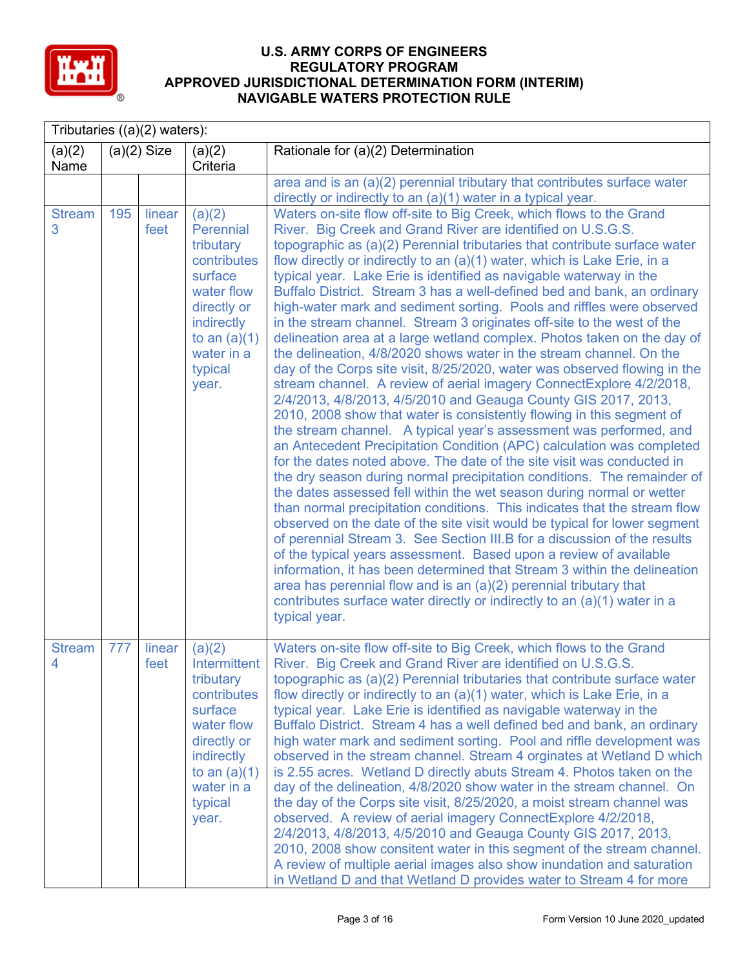

|                    | Tributaries $((a)(2)$ waters): |                |                                                                                                                                                              |                                                                                                                                                                                                                                                                                                                                                                                                                                                                                                                                                                                                                                                                                                                                                                                                                                                                                                                                                                                                                                                                                                                                                                                                                                                                                                                                                                                                                                                                                                                                                                                                                                                                                                                                                                                                                                                                                                                   |  |  |  |
|--------------------|--------------------------------|----------------|--------------------------------------------------------------------------------------------------------------------------------------------------------------|-------------------------------------------------------------------------------------------------------------------------------------------------------------------------------------------------------------------------------------------------------------------------------------------------------------------------------------------------------------------------------------------------------------------------------------------------------------------------------------------------------------------------------------------------------------------------------------------------------------------------------------------------------------------------------------------------------------------------------------------------------------------------------------------------------------------------------------------------------------------------------------------------------------------------------------------------------------------------------------------------------------------------------------------------------------------------------------------------------------------------------------------------------------------------------------------------------------------------------------------------------------------------------------------------------------------------------------------------------------------------------------------------------------------------------------------------------------------------------------------------------------------------------------------------------------------------------------------------------------------------------------------------------------------------------------------------------------------------------------------------------------------------------------------------------------------------------------------------------------------------------------------------------------------|--|--|--|
| (a)(2)<br>Name     |                                | $(a)(2)$ Size  | (a)(2)<br>Criteria                                                                                                                                           | Rationale for (a)(2) Determination                                                                                                                                                                                                                                                                                                                                                                                                                                                                                                                                                                                                                                                                                                                                                                                                                                                                                                                                                                                                                                                                                                                                                                                                                                                                                                                                                                                                                                                                                                                                                                                                                                                                                                                                                                                                                                                                                |  |  |  |
|                    |                                |                |                                                                                                                                                              | area and is an (a)(2) perennial tributary that contributes surface water                                                                                                                                                                                                                                                                                                                                                                                                                                                                                                                                                                                                                                                                                                                                                                                                                                                                                                                                                                                                                                                                                                                                                                                                                                                                                                                                                                                                                                                                                                                                                                                                                                                                                                                                                                                                                                          |  |  |  |
| <b>Stream</b>      | 195                            | linear         | (a)(2)                                                                                                                                                       | directly or indirectly to an (a)(1) water in a typical year.<br>Waters on-site flow off-site to Big Creek, which flows to the Grand                                                                                                                                                                                                                                                                                                                                                                                                                                                                                                                                                                                                                                                                                                                                                                                                                                                                                                                                                                                                                                                                                                                                                                                                                                                                                                                                                                                                                                                                                                                                                                                                                                                                                                                                                                               |  |  |  |
| 3                  |                                | feet           | Perennial<br>tributary<br>contributes<br>surface<br>water flow<br>directly or<br>indirectly<br>to an $(a)(1)$<br>water in a<br>typical<br>year.              | River. Big Creek and Grand River are identified on U.S.G.S.<br>topographic as (a)(2) Perennial tributaries that contribute surface water<br>flow directly or indirectly to an (a)(1) water, which is Lake Erie, in a<br>typical year. Lake Erie is identified as navigable waterway in the<br>Buffalo District. Stream 3 has a well-defined bed and bank, an ordinary<br>high-water mark and sediment sorting. Pools and riffles were observed<br>in the stream channel. Stream 3 originates off-site to the west of the<br>delineation area at a large wetland complex. Photos taken on the day of<br>the delineation, 4/8/2020 shows water in the stream channel. On the<br>day of the Corps site visit, 8/25/2020, water was observed flowing in the<br>stream channel. A review of aerial imagery ConnectExplore 4/2/2018,<br>2/4/2013, 4/8/2013, 4/5/2010 and Geauga County GIS 2017, 2013,<br>2010, 2008 show that water is consistently flowing in this segment of<br>the stream channel. A typical year's assessment was performed, and<br>an Antecedent Precipitation Condition (APC) calculation was completed<br>for the dates noted above. The date of the site visit was conducted in<br>the dry season during normal precipitation conditions. The remainder of<br>the dates assessed fell within the wet season during normal or wetter<br>than normal precipitation conditions. This indicates that the stream flow<br>observed on the date of the site visit would be typical for lower segment<br>of perennial Stream 3. See Section III.B for a discussion of the results<br>of the typical years assessment. Based upon a review of available<br>information, it has been determined that Stream 3 within the delineation<br>area has perennial flow and is an $(a)(2)$ perennial tributary that<br>contributes surface water directly or indirectly to an (a)(1) water in a<br>typical year. |  |  |  |
| <b>Stream</b><br>4 | 777                            | linear<br>feet | (a)(2)<br>Intermittent<br>tributary<br>contributes<br>surface<br>water flow<br>directly or<br>indirectly<br>to an $(a)(1)$<br>water in a<br>typical<br>year. | Waters on-site flow off-site to Big Creek, which flows to the Grand<br>River. Big Creek and Grand River are identified on U.S.G.S.<br>topographic as (a)(2) Perennial tributaries that contribute surface water<br>flow directly or indirectly to an (a)(1) water, which is Lake Erie, in a<br>typical year. Lake Erie is identified as navigable waterway in the<br>Buffalo District. Stream 4 has a well defined bed and bank, an ordinary<br>high water mark and sediment sorting. Pool and riffle development was<br>observed in the stream channel. Stream 4 orginates at Wetland D which<br>is 2.55 acres. Wetland D directly abuts Stream 4. Photos taken on the<br>day of the delineation, 4/8/2020 show water in the stream channel. On<br>the day of the Corps site visit, 8/25/2020, a moist stream channel was<br>observed. A review of aerial imagery ConnectExplore 4/2/2018,<br>2/4/2013, 4/8/2013, 4/5/2010 and Geauga County GIS 2017, 2013,<br>2010, 2008 show consitent water in this segment of the stream channel.<br>A review of multiple aerial images also show inundation and saturation<br>in Wetland D and that Wetland D provides water to Stream 4 for more                                                                                                                                                                                                                                                                                                                                                                                                                                                                                                                                                                                                                                                                                                                          |  |  |  |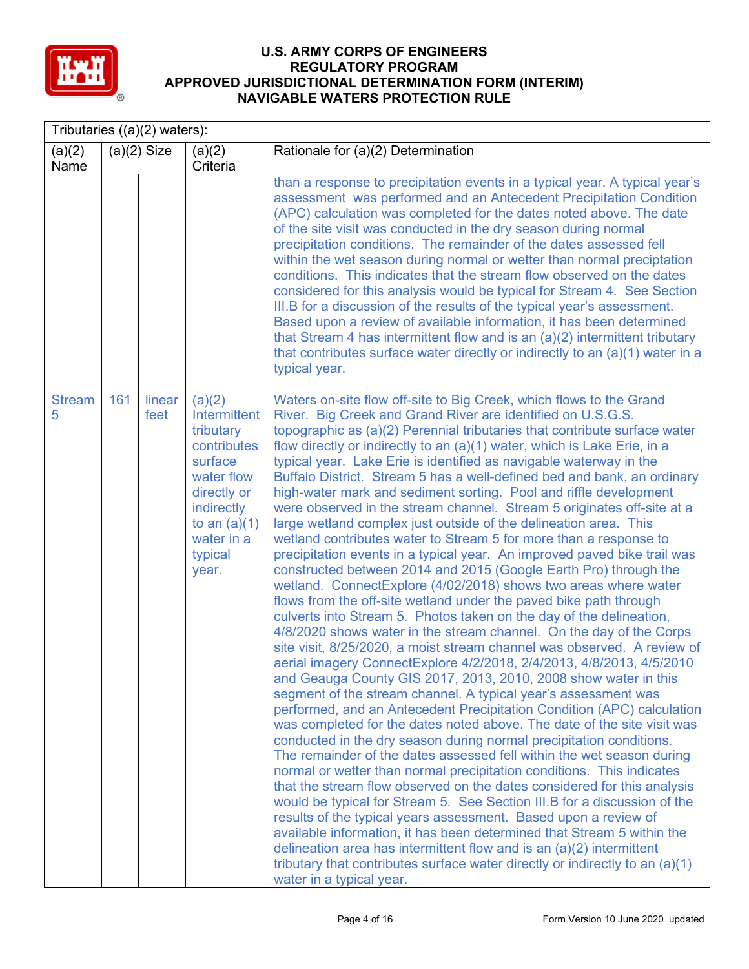

|                    | Tributaries $((a)(2)$ waters): |                |                                                                                                                                                              |                                                                                                                                                                                                                                                                                                                                                                                                                                                                                                                                                                                                                                                                                                                                                                                                                                                                                                                                                                                                                                                                                                                                                                                                                                                                                                                                                                                                                                                                                                                                                                                                                                                                                                                                                                                                                                                                                                                                                                                                                                                                                                                                                                                                                                                                                                                                              |  |  |
|--------------------|--------------------------------|----------------|--------------------------------------------------------------------------------------------------------------------------------------------------------------|----------------------------------------------------------------------------------------------------------------------------------------------------------------------------------------------------------------------------------------------------------------------------------------------------------------------------------------------------------------------------------------------------------------------------------------------------------------------------------------------------------------------------------------------------------------------------------------------------------------------------------------------------------------------------------------------------------------------------------------------------------------------------------------------------------------------------------------------------------------------------------------------------------------------------------------------------------------------------------------------------------------------------------------------------------------------------------------------------------------------------------------------------------------------------------------------------------------------------------------------------------------------------------------------------------------------------------------------------------------------------------------------------------------------------------------------------------------------------------------------------------------------------------------------------------------------------------------------------------------------------------------------------------------------------------------------------------------------------------------------------------------------------------------------------------------------------------------------------------------------------------------------------------------------------------------------------------------------------------------------------------------------------------------------------------------------------------------------------------------------------------------------------------------------------------------------------------------------------------------------------------------------------------------------------------------------------------------------|--|--|
| (a)(2)<br>Name     |                                | $(a)(2)$ Size  | (a)(2)<br>Criteria                                                                                                                                           | Rationale for (a)(2) Determination                                                                                                                                                                                                                                                                                                                                                                                                                                                                                                                                                                                                                                                                                                                                                                                                                                                                                                                                                                                                                                                                                                                                                                                                                                                                                                                                                                                                                                                                                                                                                                                                                                                                                                                                                                                                                                                                                                                                                                                                                                                                                                                                                                                                                                                                                                           |  |  |
|                    |                                |                |                                                                                                                                                              | than a response to precipitation events in a typical year. A typical year's<br>assessment was performed and an Antecedent Precipitation Condition<br>(APC) calculation was completed for the dates noted above. The date<br>of the site visit was conducted in the dry season during normal<br>precipitation conditions. The remainder of the dates assessed fell<br>within the wet season during normal or wetter than normal preciptation<br>conditions. This indicates that the stream flow observed on the dates<br>considered for this analysis would be typical for Stream 4. See Section<br>III.B for a discussion of the results of the typical year's assessment.<br>Based upon a review of available information, it has been determined<br>that Stream 4 has intermittent flow and is an $(a)(2)$ intermittent tributary<br>that contributes surface water directly or indirectly to an (a)(1) water in a<br>typical year.                                                                                                                                                                                                                                                                                                                                                                                                                                                                                                                                                                                                                                                                                                                                                                                                                                                                                                                                                                                                                                                                                                                                                                                                                                                                                                                                                                                                        |  |  |
| <b>Stream</b><br>5 | 161                            | linear<br>feet | (a)(2)<br>Intermittent<br>tributary<br>contributes<br>surface<br>water flow<br>directly or<br>indirectly<br>to an $(a)(1)$<br>water in a<br>typical<br>year. | Waters on-site flow off-site to Big Creek, which flows to the Grand<br>River. Big Creek and Grand River are identified on U.S.G.S.<br>topographic as (a)(2) Perennial tributaries that contribute surface water<br>flow directly or indirectly to an (a)(1) water, which is Lake Erie, in a<br>typical year. Lake Erie is identified as navigable waterway in the<br>Buffalo District. Stream 5 has a well-defined bed and bank, an ordinary<br>high-water mark and sediment sorting. Pool and riffle development<br>were observed in the stream channel. Stream 5 originates off-site at a<br>large wetland complex just outside of the delineation area. This<br>wetland contributes water to Stream 5 for more than a response to<br>precipitation events in a typical year. An improved paved bike trail was<br>constructed between 2014 and 2015 (Google Earth Pro) through the<br>wetland. ConnectExplore (4/02/2018) shows two areas where water<br>flows from the off-site wetland under the paved bike path through<br>culverts into Stream 5. Photos taken on the day of the delineation,<br>4/8/2020 shows water in the stream channel. On the day of the Corps<br>site visit, 8/25/2020, a moist stream channel was observed. A review of<br>aerial imagery ConnectExplore 4/2/2018, 2/4/2013, 4/8/2013, 4/5/2010<br>and Geauga County GIS 2017, 2013, 2010, 2008 show water in this<br>segment of the stream channel. A typical year's assessment was<br>performed, and an Antecedent Precipitation Condition (APC) calculation<br>was completed for the dates noted above. The date of the site visit was<br>conducted in the dry season during normal precipitation conditions.<br>The remainder of the dates assessed fell within the wet season during<br>normal or wetter than normal precipitation conditions. This indicates<br>that the stream flow observed on the dates considered for this analysis<br>would be typical for Stream 5. See Section III.B for a discussion of the<br>results of the typical years assessment. Based upon a review of<br>available information, it has been determined that Stream 5 within the<br>delineation area has intermittent flow and is an $(a)(2)$ intermittent<br>tributary that contributes surface water directly or indirectly to an $(a)(1)$<br>water in a typical year. |  |  |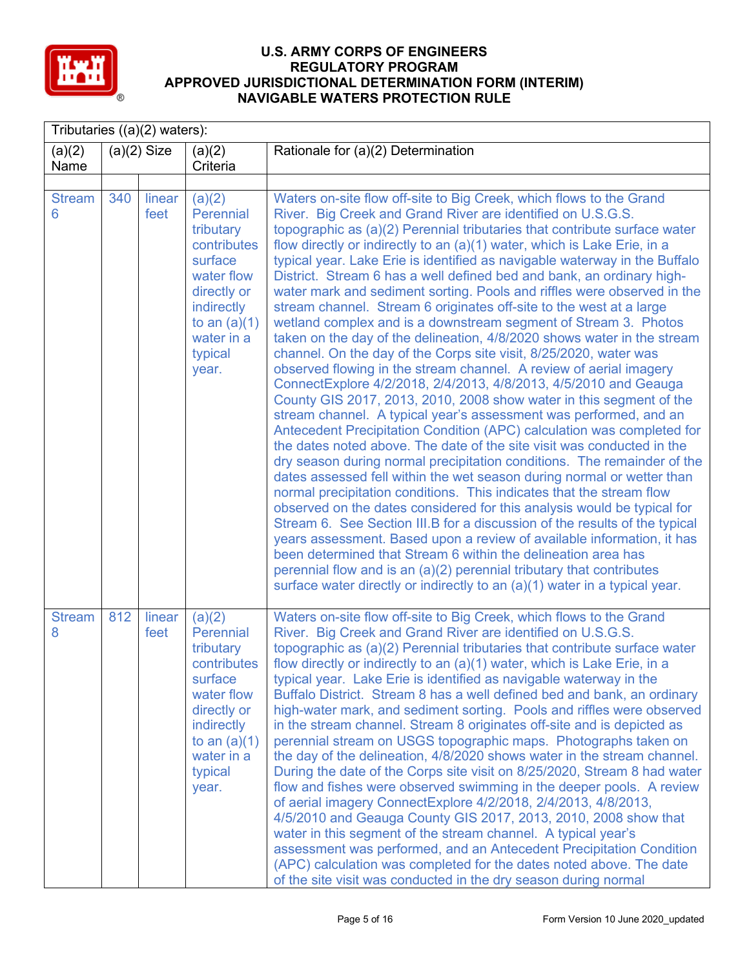

|                    | Tributaries $((a)(2)$ waters): |                |                                                                                                                                                           |                                                                                                                                                                                                                                                                                                                                                                                                                                                                                                                                                                                                                                                                                                                                                                                                                                                                                                                                                                                                                                                                                                                                                                                                                                                                                                                                                                                                                                                                                                                                                                                                                                                                                                                                                                                                                                                                                                                                                          |  |  |
|--------------------|--------------------------------|----------------|-----------------------------------------------------------------------------------------------------------------------------------------------------------|----------------------------------------------------------------------------------------------------------------------------------------------------------------------------------------------------------------------------------------------------------------------------------------------------------------------------------------------------------------------------------------------------------------------------------------------------------------------------------------------------------------------------------------------------------------------------------------------------------------------------------------------------------------------------------------------------------------------------------------------------------------------------------------------------------------------------------------------------------------------------------------------------------------------------------------------------------------------------------------------------------------------------------------------------------------------------------------------------------------------------------------------------------------------------------------------------------------------------------------------------------------------------------------------------------------------------------------------------------------------------------------------------------------------------------------------------------------------------------------------------------------------------------------------------------------------------------------------------------------------------------------------------------------------------------------------------------------------------------------------------------------------------------------------------------------------------------------------------------------------------------------------------------------------------------------------------------|--|--|
| (a)(2)<br>Name     |                                | $(a)(2)$ Size  | (a)(2)<br>Criteria                                                                                                                                        | Rationale for (a)(2) Determination                                                                                                                                                                                                                                                                                                                                                                                                                                                                                                                                                                                                                                                                                                                                                                                                                                                                                                                                                                                                                                                                                                                                                                                                                                                                                                                                                                                                                                                                                                                                                                                                                                                                                                                                                                                                                                                                                                                       |  |  |
|                    |                                |                |                                                                                                                                                           |                                                                                                                                                                                                                                                                                                                                                                                                                                                                                                                                                                                                                                                                                                                                                                                                                                                                                                                                                                                                                                                                                                                                                                                                                                                                                                                                                                                                                                                                                                                                                                                                                                                                                                                                                                                                                                                                                                                                                          |  |  |
| <b>Stream</b><br>6 | 340                            | linear<br>feet | (a)(2)<br>Perennial<br>tributary<br>contributes<br>surface<br>water flow<br>directly or<br>indirectly<br>to an $(a)(1)$<br>water in a<br>typical<br>year. | Waters on-site flow off-site to Big Creek, which flows to the Grand<br>River. Big Creek and Grand River are identified on U.S.G.S.<br>topographic as (a)(2) Perennial tributaries that contribute surface water<br>flow directly or indirectly to an (a)(1) water, which is Lake Erie, in a<br>typical year. Lake Erie is identified as navigable waterway in the Buffalo<br>District. Stream 6 has a well defined bed and bank, an ordinary high-<br>water mark and sediment sorting. Pools and riffles were observed in the<br>stream channel. Stream 6 originates off-site to the west at a large<br>wetland complex and is a downstream segment of Stream 3. Photos<br>taken on the day of the delineation, 4/8/2020 shows water in the stream<br>channel. On the day of the Corps site visit, 8/25/2020, water was<br>observed flowing in the stream channel. A review of aerial imagery<br>ConnectExplore 4/2/2018, 2/4/2013, 4/8/2013, 4/5/2010 and Geauga<br>County GIS 2017, 2013, 2010, 2008 show water in this segment of the<br>stream channel. A typical year's assessment was performed, and an<br>Antecedent Precipitation Condition (APC) calculation was completed for<br>the dates noted above. The date of the site visit was conducted in the<br>dry season during normal precipitation conditions. The remainder of the<br>dates assessed fell within the wet season during normal or wetter than<br>normal precipitation conditions. This indicates that the stream flow<br>observed on the dates considered for this analysis would be typical for<br>Stream 6. See Section III.B for a discussion of the results of the typical<br>years assessment. Based upon a review of available information, it has<br>been determined that Stream 6 within the delineation area has<br>perennial flow and is an (a)(2) perennial tributary that contributes<br>surface water directly or indirectly to an (a)(1) water in a typical year. |  |  |
| <b>Stream</b><br>8 | 812                            | linear<br>feet | (a)(2)<br>Perennial<br>tributary<br>contributes<br>surface<br>water flow<br>directly or<br>indirectly<br>to an $(a)(1)$<br>water in a<br>typical<br>year. | Waters on-site flow off-site to Big Creek, which flows to the Grand<br>River. Big Creek and Grand River are identified on U.S.G.S.<br>topographic as (a)(2) Perennial tributaries that contribute surface water<br>flow directly or indirectly to an (a)(1) water, which is Lake Erie, in a<br>typical year. Lake Erie is identified as navigable waterway in the<br>Buffalo District. Stream 8 has a well defined bed and bank, an ordinary<br>high-water mark, and sediment sorting. Pools and riffles were observed<br>in the stream channel. Stream 8 originates off-site and is depicted as<br>perennial stream on USGS topographic maps. Photographs taken on<br>the day of the delineation, 4/8/2020 shows water in the stream channel.<br>During the date of the Corps site visit on 8/25/2020, Stream 8 had water<br>flow and fishes were observed swimming in the deeper pools. A review<br>of aerial imagery ConnectExplore 4/2/2018, 2/4/2013, 4/8/2013,<br>4/5/2010 and Geauga County GIS 2017, 2013, 2010, 2008 show that<br>water in this segment of the stream channel. A typical year's<br>assessment was performed, and an Antecedent Precipitation Condition<br>(APC) calculation was completed for the dates noted above. The date<br>of the site visit was conducted in the dry season during normal                                                                                                                                                                                                                                                                                                                                                                                                                                                                                                                                                                                                                                |  |  |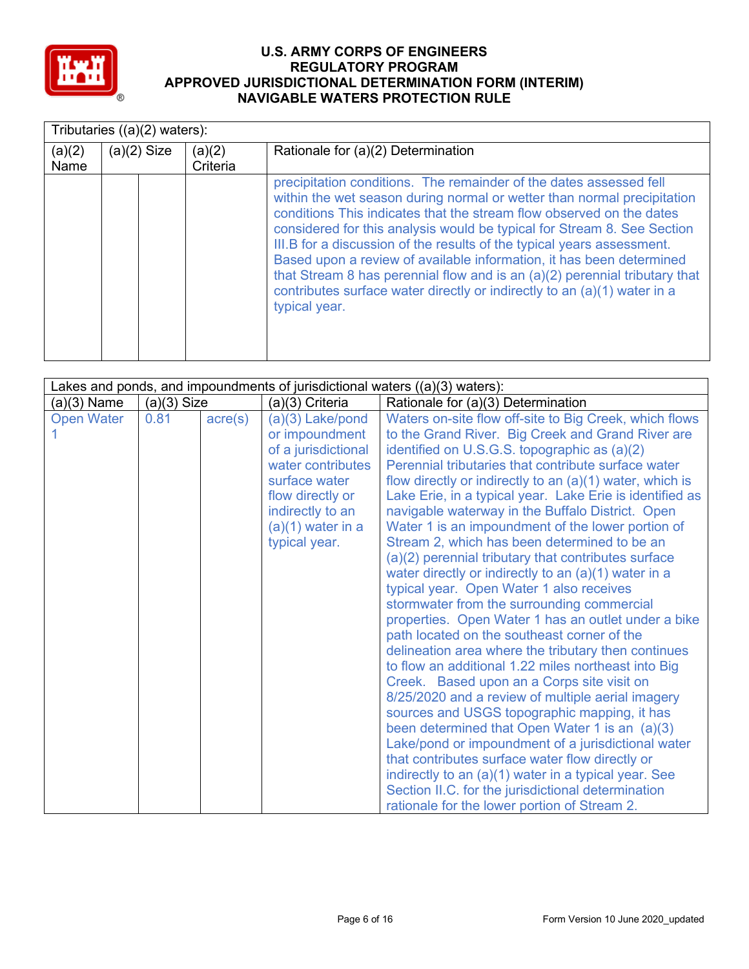

|                | Tributaries ((a)(2) waters): |                    |                                                                                                                                                                                                                                                                                                                                                                                                                                                                                                                                                                                                                               |  |  |  |  |
|----------------|------------------------------|--------------------|-------------------------------------------------------------------------------------------------------------------------------------------------------------------------------------------------------------------------------------------------------------------------------------------------------------------------------------------------------------------------------------------------------------------------------------------------------------------------------------------------------------------------------------------------------------------------------------------------------------------------------|--|--|--|--|
| (a)(2)<br>Name | $(a)(2)$ Size                | (a)(2)<br>Criteria | Rationale for (a)(2) Determination                                                                                                                                                                                                                                                                                                                                                                                                                                                                                                                                                                                            |  |  |  |  |
|                |                              |                    | precipitation conditions. The remainder of the dates assessed fell<br>within the wet season during normal or wetter than normal precipitation<br>conditions This indicates that the stream flow observed on the dates<br>considered for this analysis would be typical for Stream 8. See Section<br>III.B for a discussion of the results of the typical years assessment.<br>Based upon a review of available information, it has been determined<br>that Stream 8 has perennial flow and is an (a)(2) perennial tributary that<br>contributes surface water directly or indirectly to an (a)(1) water in a<br>typical year. |  |  |  |  |

|                   |               |                  |                                                                                                                                                                                 | Lakes and ponds, and impoundments of jurisdictional waters ((a)(3) waters):                                                                                                                                                                                                                                                                                                                                                                                                                                                                                                                                                                                                                                                                                                                                                                                                                                                                                                                                                                                                                                                                                                                                                                                                                                                                                                                                    |
|-------------------|---------------|------------------|---------------------------------------------------------------------------------------------------------------------------------------------------------------------------------|----------------------------------------------------------------------------------------------------------------------------------------------------------------------------------------------------------------------------------------------------------------------------------------------------------------------------------------------------------------------------------------------------------------------------------------------------------------------------------------------------------------------------------------------------------------------------------------------------------------------------------------------------------------------------------------------------------------------------------------------------------------------------------------------------------------------------------------------------------------------------------------------------------------------------------------------------------------------------------------------------------------------------------------------------------------------------------------------------------------------------------------------------------------------------------------------------------------------------------------------------------------------------------------------------------------------------------------------------------------------------------------------------------------|
| $(a)(3)$ Name     | $(a)(3)$ Size |                  | (a)(3) Criteria                                                                                                                                                                 | Rationale for (a)(3) Determination                                                                                                                                                                                                                                                                                                                                                                                                                                                                                                                                                                                                                                                                                                                                                                                                                                                                                                                                                                                                                                                                                                                                                                                                                                                                                                                                                                             |
| <b>Open Water</b> | 0.81          | $\text{acre}(s)$ | (a)(3) Lake/pond<br>or impoundment<br>of a jurisdictional<br>water contributes<br>surface water<br>flow directly or<br>indirectly to an<br>$(a)(1)$ water in a<br>typical year. | Waters on-site flow off-site to Big Creek, which flows<br>to the Grand River. Big Creek and Grand River are<br>identified on U.S.G.S. topographic as (a)(2)<br>Perennial tributaries that contribute surface water<br>flow directly or indirectly to an $(a)(1)$ water, which is<br>Lake Erie, in a typical year. Lake Erie is identified as<br>navigable waterway in the Buffalo District. Open<br>Water 1 is an impoundment of the lower portion of<br>Stream 2, which has been determined to be an<br>(a)(2) perennial tributary that contributes surface<br>water directly or indirectly to an (a)(1) water in a<br>typical year. Open Water 1 also receives<br>stormwater from the surrounding commercial<br>properties. Open Water 1 has an outlet under a bike<br>path located on the southeast corner of the<br>delineation area where the tributary then continues<br>to flow an additional 1.22 miles northeast into Big<br>Creek. Based upon an a Corps site visit on<br>8/25/2020 and a review of multiple aerial imagery<br>sources and USGS topographic mapping, it has<br>been determined that Open Water 1 is an (a)(3)<br>Lake/pond or impoundment of a jurisdictional water<br>that contributes surface water flow directly or<br>indirectly to an (a)(1) water in a typical year. See<br>Section II.C. for the jurisdictional determination<br>rationale for the lower portion of Stream 2. |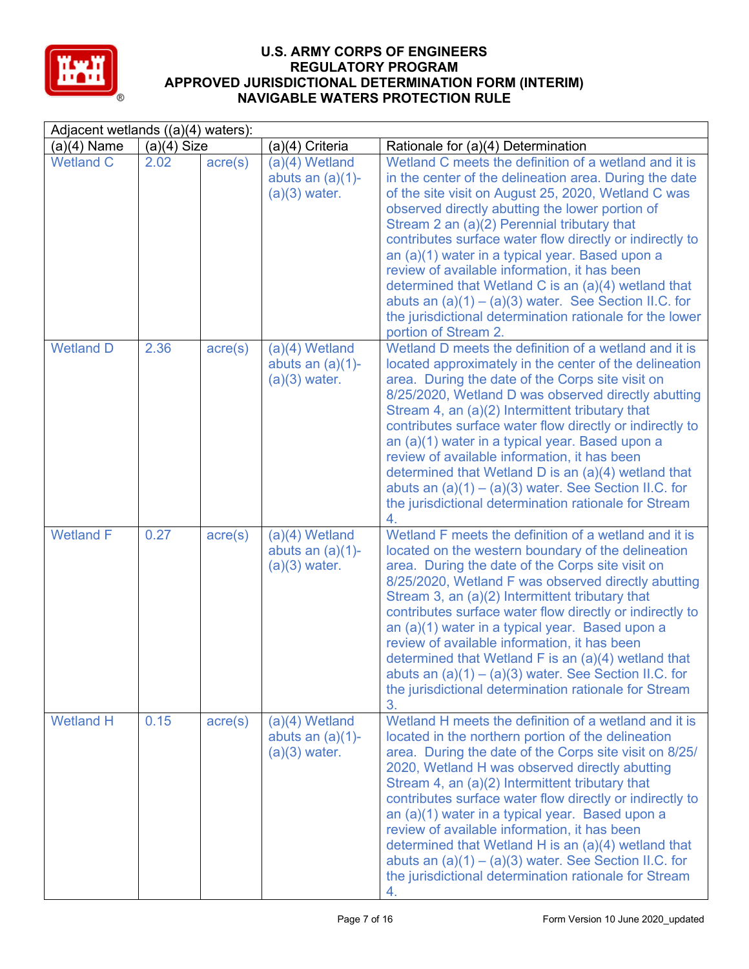

| Adjacent wetlands ((a)(4) waters): |               |                  |                                                            |                                                                                                                                                                                                                                                                                                                                                                                                                                                                                                                                                                                                                                               |  |  |
|------------------------------------|---------------|------------------|------------------------------------------------------------|-----------------------------------------------------------------------------------------------------------------------------------------------------------------------------------------------------------------------------------------------------------------------------------------------------------------------------------------------------------------------------------------------------------------------------------------------------------------------------------------------------------------------------------------------------------------------------------------------------------------------------------------------|--|--|
| $(a)(4)$ Name                      | $(a)(4)$ Size |                  | (a)(4) Criteria                                            | Rationale for (a)(4) Determination                                                                                                                                                                                                                                                                                                                                                                                                                                                                                                                                                                                                            |  |  |
| <b>Wetland C</b>                   | 2.02          | acre(s)          | $(a)(4)$ Wetland<br>abuts an $(a)(1)$ -<br>$(a)(3)$ water. | Wetland C meets the definition of a wetland and it is<br>in the center of the delineation area. During the date<br>of the site visit on August 25, 2020, Wetland C was<br>observed directly abutting the lower portion of<br>Stream 2 an (a)(2) Perennial tributary that<br>contributes surface water flow directly or indirectly to<br>an (a)(1) water in a typical year. Based upon a<br>review of available information, it has been<br>determined that Wetland C is an (a)(4) wetland that<br>abuts an $(a)(1) - (a)(3)$ water. See Section II.C. for<br>the jurisdictional determination rationale for the lower<br>portion of Stream 2. |  |  |
| <b>Wetland D</b>                   | 2.36          | $\text{acre}(s)$ | $(a)(4)$ Wetland<br>abuts an $(a)(1)$ -<br>$(a)(3)$ water. | Wetland D meets the definition of a wetland and it is<br>located approximately in the center of the delineation<br>area. During the date of the Corps site visit on<br>8/25/2020, Wetland D was observed directly abutting<br>Stream 4, an (a)(2) Intermittent tributary that<br>contributes surface water flow directly or indirectly to<br>an (a)(1) water in a typical year. Based upon a<br>review of available information, it has been<br>determined that Wetland D is an (a)(4) wetland that<br>abuts an $(a)(1) - (a)(3)$ water. See Section II.C. for<br>the jurisdictional determination rationale for Stream<br>4.                 |  |  |
| <b>Wetland F</b>                   | 0.27          | $\text{acre}(s)$ | $(a)(4)$ Wetland<br>abuts an $(a)(1)$ -<br>$(a)(3)$ water. | Wetland F meets the definition of a wetland and it is<br>located on the western boundary of the delineation<br>area. During the date of the Corps site visit on<br>8/25/2020, Wetland F was observed directly abutting<br>Stream 3, an (a)(2) Intermittent tributary that<br>contributes surface water flow directly or indirectly to<br>an (a)(1) water in a typical year. Based upon a<br>review of available information, it has been<br>determined that Wetland F is an (a)(4) wetland that<br>abuts an $(a)(1) - (a)(3)$ water. See Section II.C. for<br>the jurisdictional determination rationale for Stream<br>3.                     |  |  |
| <b>Wetland H</b>                   | 0.15          | $\text{acre}(s)$ | $(a)(4)$ Wetland<br>abuts an $(a)(1)$ -<br>$(a)(3)$ water. | Wetland H meets the definition of a wetland and it is<br>located in the northern portion of the delineation<br>area. During the date of the Corps site visit on 8/25/<br>2020, Wetland H was observed directly abutting<br>Stream 4, an (a)(2) Intermittent tributary that<br>contributes surface water flow directly or indirectly to<br>an (a)(1) water in a typical year. Based upon a<br>review of available information, it has been<br>determined that Wetland H is an (a)(4) wetland that<br>abuts an $(a)(1) - (a)(3)$ water. See Section II.C. for<br>the jurisdictional determination rationale for Stream<br>4.                    |  |  |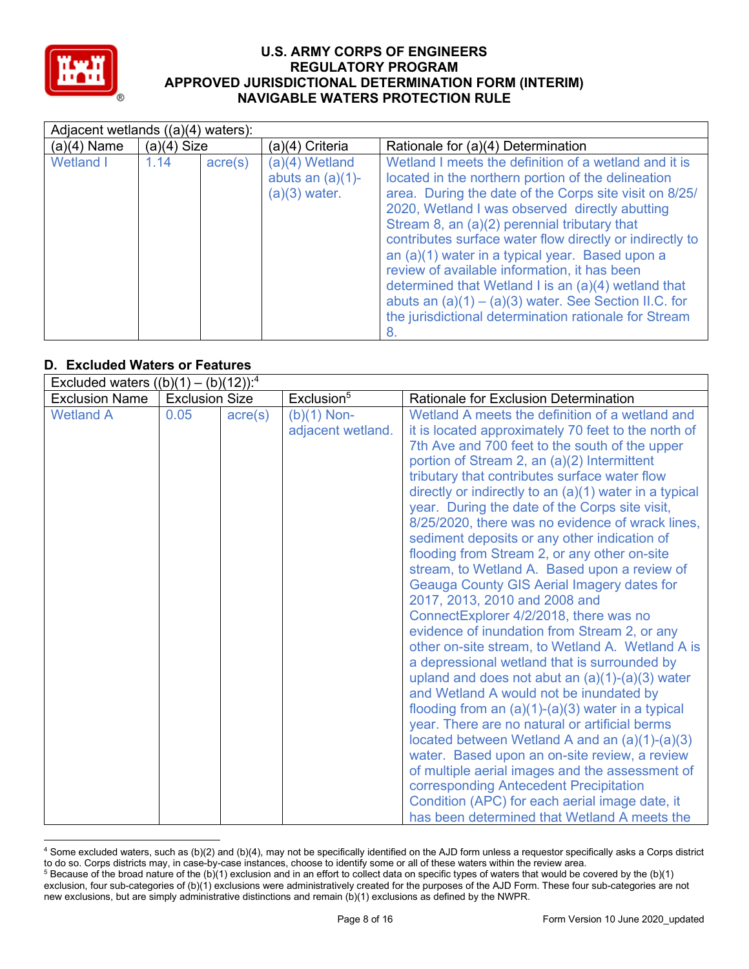

|                  | Adjacent wetlands $((a)(4)$ waters): |                  |                                                          |                                                                                                                                                                                                                                                                                                                                                                                                                                                                                                                                                                                                                   |  |  |  |
|------------------|--------------------------------------|------------------|----------------------------------------------------------|-------------------------------------------------------------------------------------------------------------------------------------------------------------------------------------------------------------------------------------------------------------------------------------------------------------------------------------------------------------------------------------------------------------------------------------------------------------------------------------------------------------------------------------------------------------------------------------------------------------------|--|--|--|
| $(a)(4)$ Name    | $(a)(4)$ Size                        |                  | (a)(4) Criteria                                          | Rationale for (a)(4) Determination                                                                                                                                                                                                                                                                                                                                                                                                                                                                                                                                                                                |  |  |  |
| <b>Wetland I</b> | 1.14                                 | $\text{acre}(s)$ | (a)(4) Wetland<br>abuts an $(a)(1)$ -<br>$(a)(3)$ water. | Wetland I meets the definition of a wetland and it is<br>located in the northern portion of the delineation<br>area. During the date of the Corps site visit on 8/25/<br>2020, Wetland I was observed directly abutting<br>Stream 8, an (a)(2) perennial tributary that<br>contributes surface water flow directly or indirectly to<br>an (a)(1) water in a typical year. Based upon a<br>review of available information, it has been<br>determined that Wetland I is an (a)(4) wetland that<br>abuts an $(a)(1) - (a)(3)$ water. See Section II.C. for<br>the jurisdictional determination rationale for Stream |  |  |  |

## **D. Excluded Waters or Features**

| Excluded waters $((b)(1) - (b)(12))$ : <sup>4</sup> |                       |                  |                                    |                                                                                                                                                                                                                                                                                                                                                                                                                                                                                                                                                                                                                                                                                                                                                                                                                                                                                                                                                                                                                                                                                                                                                                                                                                                                                                                                                                           |
|-----------------------------------------------------|-----------------------|------------------|------------------------------------|---------------------------------------------------------------------------------------------------------------------------------------------------------------------------------------------------------------------------------------------------------------------------------------------------------------------------------------------------------------------------------------------------------------------------------------------------------------------------------------------------------------------------------------------------------------------------------------------------------------------------------------------------------------------------------------------------------------------------------------------------------------------------------------------------------------------------------------------------------------------------------------------------------------------------------------------------------------------------------------------------------------------------------------------------------------------------------------------------------------------------------------------------------------------------------------------------------------------------------------------------------------------------------------------------------------------------------------------------------------------------|
| <b>Exclusion Name</b>                               | <b>Exclusion Size</b> |                  | Exclusion <sup>5</sup>             | <b>Rationale for Exclusion Determination</b>                                                                                                                                                                                                                                                                                                                                                                                                                                                                                                                                                                                                                                                                                                                                                                                                                                                                                                                                                                                                                                                                                                                                                                                                                                                                                                                              |
| <b>Wetland A</b>                                    | 0.05                  | $\text{acre}(s)$ | $(b)(1)$ Non-<br>adjacent wetland. | Wetland A meets the definition of a wetland and<br>it is located approximately 70 feet to the north of<br>7th Ave and 700 feet to the south of the upper<br>portion of Stream 2, an (a)(2) Intermittent<br>tributary that contributes surface water flow<br>directly or indirectly to an (a)(1) water in a typical<br>year. During the date of the Corps site visit,<br>8/25/2020, there was no evidence of wrack lines,<br>sediment deposits or any other indication of<br>flooding from Stream 2, or any other on-site<br>stream, to Wetland A. Based upon a review of<br><b>Geauga County GIS Aerial Imagery dates for</b><br>2017, 2013, 2010 and 2008 and<br>ConnectExplorer 4/2/2018, there was no<br>evidence of inundation from Stream 2, or any<br>other on-site stream, to Wetland A. Wetland A is<br>a depressional wetland that is surrounded by<br>upland and does not abut an $(a)(1)-(a)(3)$ water<br>and Wetland A would not be inundated by<br>flooding from an $(a)(1)-(a)(3)$ water in a typical<br>year. There are no natural or artificial berms<br>located between Wetland A and an $(a)(1)-(a)(3)$<br>water. Based upon an on-site review, a review<br>of multiple aerial images and the assessment of<br>corresponding Antecedent Precipitation<br>Condition (APC) for each aerial image date, it<br>has been determined that Wetland A meets the |

<sup>4</sup> Some excluded waters, such as (b)(2) and (b)(4), may not be specifically identified on the AJD form unless a requestor specifically asks a Corps district to do so. Corps districts may, in case-by-case instances, choose to identify some or all of these waters within the review area.  $5$  Because of the broad nature of the (b)(1) exclusion and in an effort to collect data on specific types of waters that would be covered by the (b)(1)

exclusion, four sub-categories of (b)(1) exclusions were administratively created for the purposes of the AJD Form. These four sub-categories are not new exclusions, but are simply administrative distinctions and remain (b)(1) exclusions as defined by the NWPR.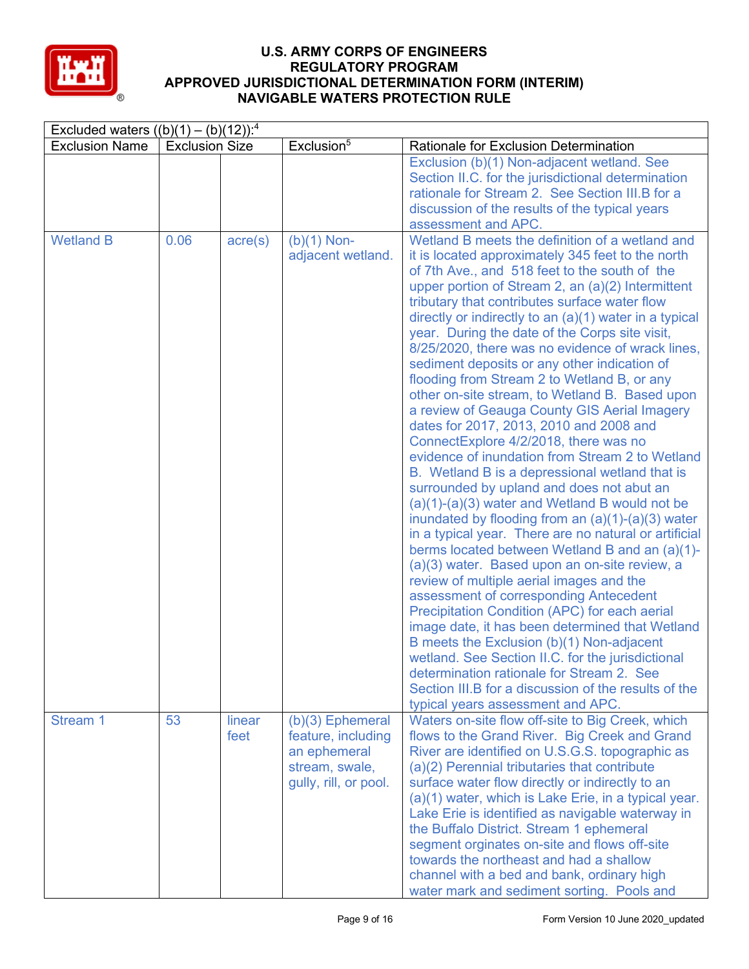

| Excluded waters $((b)(1) - (b)(12))$ : <sup>4</sup> |                       |                  |                                                                                                     |                                                                                                                                                                                                                                                                                                                                                                                                                                                                                                                                                                                                                                                                                                                                                                                                                                                                                                                                                                                                                                                                                                                                                                                                                                                                                                                                                                                                                                                                                                                                                                                   |  |  |  |  |
|-----------------------------------------------------|-----------------------|------------------|-----------------------------------------------------------------------------------------------------|-----------------------------------------------------------------------------------------------------------------------------------------------------------------------------------------------------------------------------------------------------------------------------------------------------------------------------------------------------------------------------------------------------------------------------------------------------------------------------------------------------------------------------------------------------------------------------------------------------------------------------------------------------------------------------------------------------------------------------------------------------------------------------------------------------------------------------------------------------------------------------------------------------------------------------------------------------------------------------------------------------------------------------------------------------------------------------------------------------------------------------------------------------------------------------------------------------------------------------------------------------------------------------------------------------------------------------------------------------------------------------------------------------------------------------------------------------------------------------------------------------------------------------------------------------------------------------------|--|--|--|--|
| <b>Exclusion Name</b>                               | <b>Exclusion Size</b> |                  | Exclusion <sup>5</sup>                                                                              | Rationale for Exclusion Determination                                                                                                                                                                                                                                                                                                                                                                                                                                                                                                                                                                                                                                                                                                                                                                                                                                                                                                                                                                                                                                                                                                                                                                                                                                                                                                                                                                                                                                                                                                                                             |  |  |  |  |
|                                                     |                       |                  |                                                                                                     | Exclusion (b)(1) Non-adjacent wetland. See<br>Section II.C. for the jurisdictional determination<br>rationale for Stream 2. See Section III.B for a<br>discussion of the results of the typical years<br>assessment and APC.                                                                                                                                                                                                                                                                                                                                                                                                                                                                                                                                                                                                                                                                                                                                                                                                                                                                                                                                                                                                                                                                                                                                                                                                                                                                                                                                                      |  |  |  |  |
| <b>Wetland B</b>                                    | 0.06                  | $\text{acre}(s)$ | $(b)(1)$ Non-<br>adjacent wetland.                                                                  | Wetland B meets the definition of a wetland and<br>it is located approximately 345 feet to the north<br>of 7th Ave., and 518 feet to the south of the<br>upper portion of Stream 2, an $(a)(2)$ Intermittent<br>tributary that contributes surface water flow<br>directly or indirectly to an (a)(1) water in a typical<br>year. During the date of the Corps site visit,<br>8/25/2020, there was no evidence of wrack lines,<br>sediment deposits or any other indication of<br>flooding from Stream 2 to Wetland B, or any<br>other on-site stream, to Wetland B. Based upon<br>a review of Geauga County GIS Aerial Imagery<br>dates for 2017, 2013, 2010 and 2008 and<br>ConnectExplore 4/2/2018, there was no<br>evidence of inundation from Stream 2 to Wetland<br>B. Wetland B is a depressional wetland that is<br>surrounded by upland and does not abut an<br>$(a)(1)-(a)(3)$ water and Wetland B would not be<br>inundated by flooding from an $(a)(1)-(a)(3)$ water<br>in a typical year. There are no natural or artificial<br>berms located between Wetland B and an (a)(1)-<br>(a)(3) water. Based upon an on-site review, a<br>review of multiple aerial images and the<br>assessment of corresponding Antecedent<br>Precipitation Condition (APC) for each aerial<br>image date, it has been determined that Wetland<br>B meets the Exclusion (b)(1) Non-adjacent<br>wetland. See Section II.C. for the jurisdictional<br>determination rationale for Stream 2. See<br>Section III.B for a discussion of the results of the<br>typical years assessment and APC. |  |  |  |  |
| Stream 1                                            | 53                    | linear<br>feet   | $(b)(3)$ Ephemeral<br>feature, including<br>an ephemeral<br>stream, swale,<br>gully, rill, or pool. | Waters on-site flow off-site to Big Creek, which<br>flows to the Grand River. Big Creek and Grand<br>River are identified on U.S.G.S. topographic as<br>(a)(2) Perennial tributaries that contribute<br>surface water flow directly or indirectly to an<br>(a)(1) water, which is Lake Erie, in a typical year.<br>Lake Erie is identified as navigable waterway in<br>the Buffalo District. Stream 1 ephemeral<br>segment orginates on-site and flows off-site<br>towards the northeast and had a shallow<br>channel with a bed and bank, ordinary high<br>water mark and sediment sorting. Pools and                                                                                                                                                                                                                                                                                                                                                                                                                                                                                                                                                                                                                                                                                                                                                                                                                                                                                                                                                                            |  |  |  |  |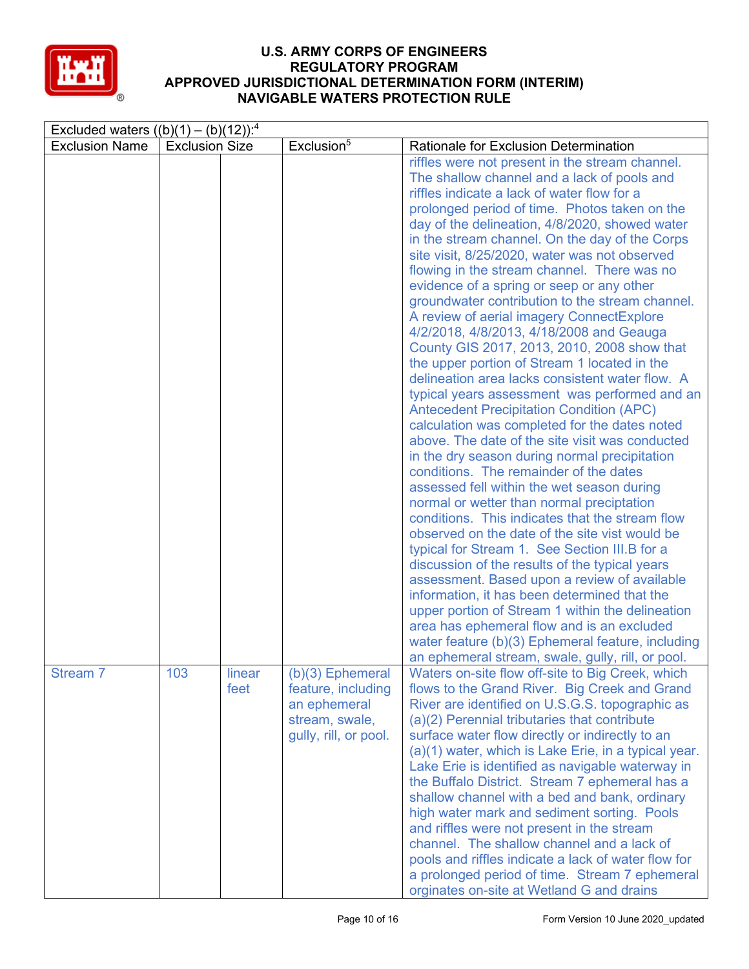

| Excluded waters $((b)(1) - (b)(12))$ : <sup>4</sup> |                       |                |                                                                                                     |                                                                                                                                                                                                                                                                                                                                                                                                                                                                                                                                                                                                                                                                                                                                                                                                                                                                                                                                                                                                                                                                                                                                                                                                                                                                                                                                                                                                                                                                                                                                                                                                            |  |  |  |  |
|-----------------------------------------------------|-----------------------|----------------|-----------------------------------------------------------------------------------------------------|------------------------------------------------------------------------------------------------------------------------------------------------------------------------------------------------------------------------------------------------------------------------------------------------------------------------------------------------------------------------------------------------------------------------------------------------------------------------------------------------------------------------------------------------------------------------------------------------------------------------------------------------------------------------------------------------------------------------------------------------------------------------------------------------------------------------------------------------------------------------------------------------------------------------------------------------------------------------------------------------------------------------------------------------------------------------------------------------------------------------------------------------------------------------------------------------------------------------------------------------------------------------------------------------------------------------------------------------------------------------------------------------------------------------------------------------------------------------------------------------------------------------------------------------------------------------------------------------------------|--|--|--|--|
| <b>Exclusion Name</b>                               | <b>Exclusion Size</b> |                | Exclusion <sup>5</sup>                                                                              | <b>Rationale for Exclusion Determination</b>                                                                                                                                                                                                                                                                                                                                                                                                                                                                                                                                                                                                                                                                                                                                                                                                                                                                                                                                                                                                                                                                                                                                                                                                                                                                                                                                                                                                                                                                                                                                                               |  |  |  |  |
|                                                     |                       |                |                                                                                                     | riffles were not present in the stream channel.<br>The shallow channel and a lack of pools and<br>riffles indicate a lack of water flow for a<br>prolonged period of time. Photos taken on the<br>day of the delineation, 4/8/2020, showed water<br>in the stream channel. On the day of the Corps<br>site visit, 8/25/2020, water was not observed<br>flowing in the stream channel. There was no<br>evidence of a spring or seep or any other<br>groundwater contribution to the stream channel.<br>A review of aerial imagery ConnectExplore<br>4/2/2018, 4/8/2013, 4/18/2008 and Geauga<br>County GIS 2017, 2013, 2010, 2008 show that<br>the upper portion of Stream 1 located in the<br>delineation area lacks consistent water flow. A<br>typical years assessment was performed and an<br><b>Antecedent Precipitation Condition (APC)</b><br>calculation was completed for the dates noted<br>above. The date of the site visit was conducted<br>in the dry season during normal precipitation<br>conditions. The remainder of the dates<br>assessed fell within the wet season during<br>normal or wetter than normal preciptation<br>conditions. This indicates that the stream flow<br>observed on the date of the site vist would be<br>typical for Stream 1. See Section III.B for a<br>discussion of the results of the typical years<br>assessment. Based upon a review of available<br>information, it has been determined that the<br>upper portion of Stream 1 within the delineation<br>area has ephemeral flow and is an excluded<br>water feature (b)(3) Ephemeral feature, including |  |  |  |  |
| Stream 7                                            | 103                   | linear<br>feet | $(b)(3)$ Ephemeral<br>feature, including<br>an ephemeral<br>stream, swale,<br>gully, rill, or pool. | an ephemeral stream, swale, gully, rill, or pool.<br>Waters on-site flow off-site to Big Creek, which<br>flows to the Grand River. Big Creek and Grand<br>River are identified on U.S.G.S. topographic as<br>(a)(2) Perennial tributaries that contribute<br>surface water flow directly or indirectly to an<br>(a)(1) water, which is Lake Erie, in a typical year.<br>Lake Erie is identified as navigable waterway in<br>the Buffalo District. Stream 7 ephemeral has a<br>shallow channel with a bed and bank, ordinary<br>high water mark and sediment sorting. Pools<br>and riffles were not present in the stream<br>channel. The shallow channel and a lack of<br>pools and riffles indicate a lack of water flow for<br>a prolonged period of time. Stream 7 ephemeral<br>orginates on-site at Wetland G and drains                                                                                                                                                                                                                                                                                                                                                                                                                                                                                                                                                                                                                                                                                                                                                                               |  |  |  |  |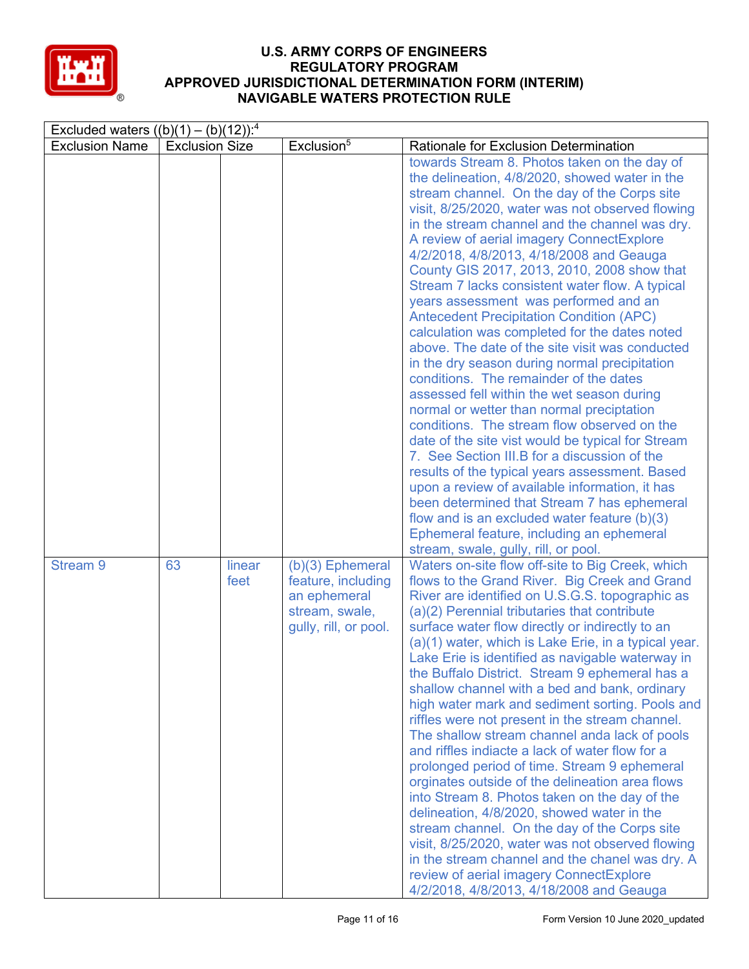

| Excluded waters $((b)(1) - (b)(12))$ : <sup>4</sup> |                       |                |                                                                                                     |                                                                                                                                                                                                                                                                                                                                                                                                                                                                                                                                                                                                                                                                                                                                                                                                                                                                                                                                                                                                                                                                                                                                                                                                                                                                                     |  |  |  |
|-----------------------------------------------------|-----------------------|----------------|-----------------------------------------------------------------------------------------------------|-------------------------------------------------------------------------------------------------------------------------------------------------------------------------------------------------------------------------------------------------------------------------------------------------------------------------------------------------------------------------------------------------------------------------------------------------------------------------------------------------------------------------------------------------------------------------------------------------------------------------------------------------------------------------------------------------------------------------------------------------------------------------------------------------------------------------------------------------------------------------------------------------------------------------------------------------------------------------------------------------------------------------------------------------------------------------------------------------------------------------------------------------------------------------------------------------------------------------------------------------------------------------------------|--|--|--|
| <b>Exclusion Name</b>                               | <b>Exclusion Size</b> |                | Exclusion <sup>5</sup>                                                                              | Rationale for Exclusion Determination                                                                                                                                                                                                                                                                                                                                                                                                                                                                                                                                                                                                                                                                                                                                                                                                                                                                                                                                                                                                                                                                                                                                                                                                                                               |  |  |  |
|                                                     |                       |                |                                                                                                     | towards Stream 8. Photos taken on the day of<br>the delineation, 4/8/2020, showed water in the<br>stream channel. On the day of the Corps site<br>visit, 8/25/2020, water was not observed flowing<br>in the stream channel and the channel was dry.<br>A review of aerial imagery ConnectExplore<br>4/2/2018, 4/8/2013, 4/18/2008 and Geauga<br>County GIS 2017, 2013, 2010, 2008 show that<br>Stream 7 lacks consistent water flow. A typical<br>years assessment was performed and an<br><b>Antecedent Precipitation Condition (APC)</b><br>calculation was completed for the dates noted<br>above. The date of the site visit was conducted<br>in the dry season during normal precipitation<br>conditions. The remainder of the dates<br>assessed fell within the wet season during<br>normal or wetter than normal preciptation<br>conditions. The stream flow observed on the<br>date of the site vist would be typical for Stream<br>7. See Section III.B for a discussion of the<br>results of the typical years assessment. Based<br>upon a review of available information, it has<br>been determined that Stream 7 has ephemeral<br>flow and is an excluded water feature $(b)(3)$<br>Ephemeral feature, including an ephemeral<br>stream, swale, gully, rill, or pool. |  |  |  |
| <b>Stream 9</b>                                     | 63                    | linear<br>feet | $(b)(3)$ Ephemeral<br>feature, including<br>an ephemeral<br>stream, swale,<br>gully, rill, or pool. | Waters on-site flow off-site to Big Creek, which<br>flows to the Grand River. Big Creek and Grand<br>River are identified on U.S.G.S. topographic as<br>(a)(2) Perennial tributaries that contribute<br>surface water flow directly or indirectly to an<br>(a)(1) water, which is Lake Erie, in a typical year.<br>Lake Erie is identified as navigable waterway in<br>the Buffalo District. Stream 9 ephemeral has a<br>shallow channel with a bed and bank, ordinary<br>high water mark and sediment sorting. Pools and<br>riffles were not present in the stream channel.<br>The shallow stream channel anda lack of pools<br>and riffles indiacte a lack of water flow for a<br>prolonged period of time. Stream 9 ephemeral<br>orginates outside of the delineation area flows<br>into Stream 8. Photos taken on the day of the<br>delineation, 4/8/2020, showed water in the<br>stream channel. On the day of the Corps site<br>visit, 8/25/2020, water was not observed flowing<br>in the stream channel and the chanel was dry. A<br>review of aerial imagery ConnectExplore<br>4/2/2018, 4/8/2013, 4/18/2008 and Geauga                                                                                                                                                    |  |  |  |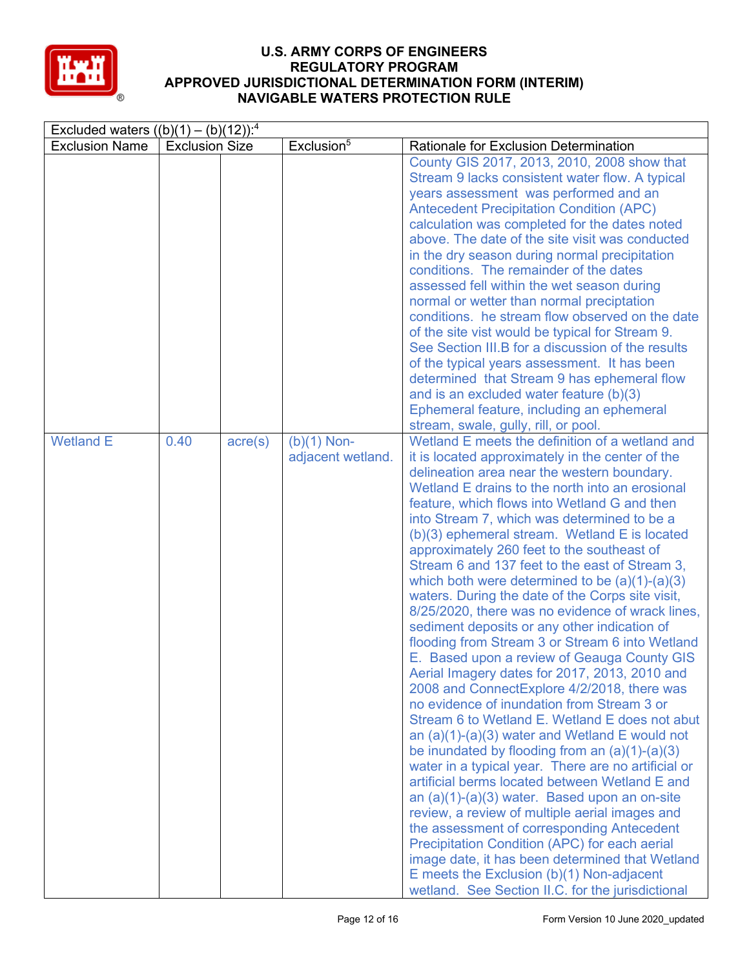

| Excluded waters $((b)(1) - (b)(12))$ : <sup>4</sup> |                       |                  |                                    |                                                                                                                                                                                                                                                                                                                                                                                                                                                                                                                                                                                                                                                                                                                                                                                                                                                                                                                                                                                                                                                                                                                                                                                                                                                                                                                                                                                                                                                                                                                                                                                       |  |  |  |  |
|-----------------------------------------------------|-----------------------|------------------|------------------------------------|---------------------------------------------------------------------------------------------------------------------------------------------------------------------------------------------------------------------------------------------------------------------------------------------------------------------------------------------------------------------------------------------------------------------------------------------------------------------------------------------------------------------------------------------------------------------------------------------------------------------------------------------------------------------------------------------------------------------------------------------------------------------------------------------------------------------------------------------------------------------------------------------------------------------------------------------------------------------------------------------------------------------------------------------------------------------------------------------------------------------------------------------------------------------------------------------------------------------------------------------------------------------------------------------------------------------------------------------------------------------------------------------------------------------------------------------------------------------------------------------------------------------------------------------------------------------------------------|--|--|--|--|
| <b>Exclusion Name</b>                               | <b>Exclusion Size</b> |                  | Exclusion <sup>5</sup>             | Rationale for Exclusion Determination                                                                                                                                                                                                                                                                                                                                                                                                                                                                                                                                                                                                                                                                                                                                                                                                                                                                                                                                                                                                                                                                                                                                                                                                                                                                                                                                                                                                                                                                                                                                                 |  |  |  |  |
|                                                     |                       |                  |                                    | County GIS 2017, 2013, 2010, 2008 show that<br>Stream 9 lacks consistent water flow. A typical<br>years assessment was performed and an<br><b>Antecedent Precipitation Condition (APC)</b><br>calculation was completed for the dates noted<br>above. The date of the site visit was conducted<br>in the dry season during normal precipitation<br>conditions. The remainder of the dates<br>assessed fell within the wet season during<br>normal or wetter than normal preciptation<br>conditions. he stream flow observed on the date<br>of the site vist would be typical for Stream 9.<br>See Section III.B for a discussion of the results<br>of the typical years assessment. It has been<br>determined that Stream 9 has ephemeral flow<br>and is an excluded water feature (b)(3)<br>Ephemeral feature, including an ephemeral                                                                                                                                                                                                                                                                                                                                                                                                                                                                                                                                                                                                                                                                                                                                                |  |  |  |  |
| <b>Wetland E</b>                                    | 0.40                  | $\text{acre}(s)$ | $(b)(1)$ Non-<br>adjacent wetland. | stream, swale, gully, rill, or pool.<br>Wetland E meets the definition of a wetland and<br>it is located approximately in the center of the<br>delineation area near the western boundary.<br>Wetland E drains to the north into an erosional<br>feature, which flows into Wetland G and then<br>into Stream 7, which was determined to be a<br>(b)(3) ephemeral stream. Wetland E is located<br>approximately 260 feet to the southeast of<br>Stream 6 and 137 feet to the east of Stream 3,<br>which both were determined to be $(a)(1)-(a)(3)$<br>waters. During the date of the Corps site visit,<br>8/25/2020, there was no evidence of wrack lines,<br>sediment deposits or any other indication of<br>flooding from Stream 3 or Stream 6 into Wetland<br>E. Based upon a review of Geauga County GIS<br>Aerial Imagery dates for 2017, 2013, 2010 and<br>2008 and ConnectExplore 4/2/2018, there was<br>no evidence of inundation from Stream 3 or<br>Stream 6 to Wetland E. Wetland E does not abut<br>an $(a)(1)-(a)(3)$ water and Wetland E would not<br>be inundated by flooding from an $(a)(1)-(a)(3)$<br>water in a typical year. There are no artificial or<br>artificial berms located between Wetland E and<br>an (a)(1)-(a)(3) water. Based upon an on-site<br>review, a review of multiple aerial images and<br>the assessment of corresponding Antecedent<br>Precipitation Condition (APC) for each aerial<br>image date, it has been determined that Wetland<br>E meets the Exclusion $(b)(1)$ Non-adjacent<br>wetland. See Section II.C. for the jurisdictional |  |  |  |  |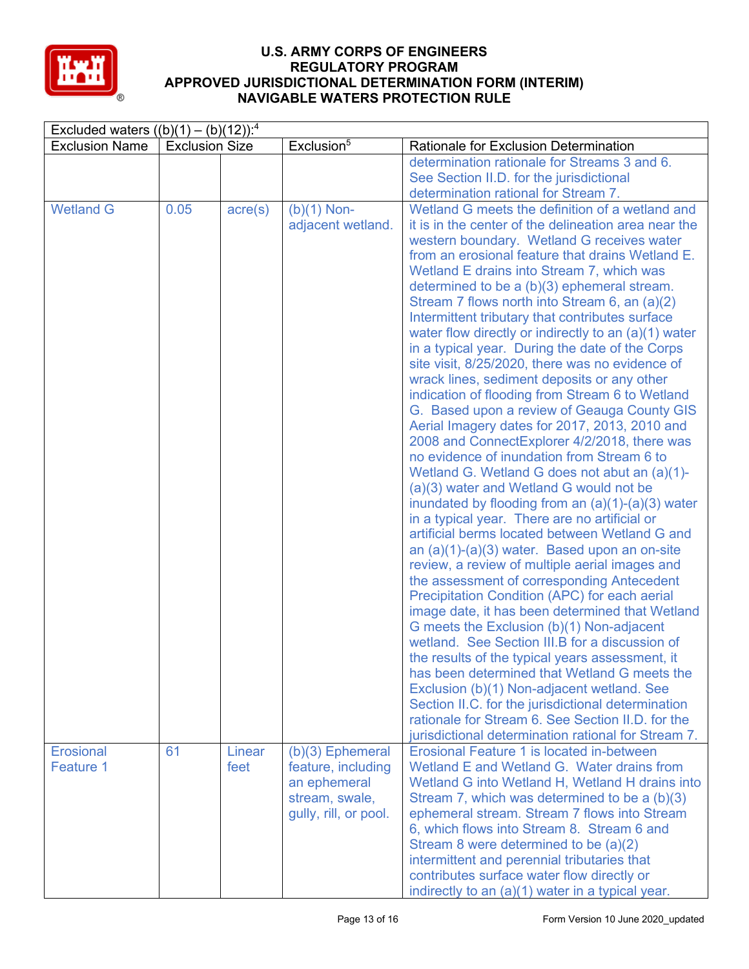

| Excluded waters $((b)(1) - (b)(12))$ : <sup>4</sup> |                       |                  |                        |                                                                                                 |  |  |  |
|-----------------------------------------------------|-----------------------|------------------|------------------------|-------------------------------------------------------------------------------------------------|--|--|--|
| <b>Exclusion Name</b>                               | <b>Exclusion Size</b> |                  | Exclusion <sup>5</sup> | Rationale for Exclusion Determination                                                           |  |  |  |
|                                                     |                       |                  |                        | determination rationale for Streams 3 and 6.                                                    |  |  |  |
|                                                     |                       |                  |                        | See Section II.D. for the jurisdictional                                                        |  |  |  |
|                                                     |                       |                  |                        | determination rational for Stream 7.                                                            |  |  |  |
| <b>Wetland G</b>                                    | 0.05                  | $\text{acre}(s)$ | $(b)(1)$ Non-          | Wetland G meets the definition of a wetland and                                                 |  |  |  |
|                                                     |                       |                  | adjacent wetland.      | it is in the center of the delineation area near the                                            |  |  |  |
|                                                     |                       |                  |                        | western boundary. Wetland G receives water                                                      |  |  |  |
|                                                     |                       |                  |                        | from an erosional feature that drains Wetland E.                                                |  |  |  |
|                                                     |                       |                  |                        | Wetland E drains into Stream 7, which was                                                       |  |  |  |
|                                                     |                       |                  |                        | determined to be a (b)(3) ephemeral stream.                                                     |  |  |  |
|                                                     |                       |                  |                        | Stream 7 flows north into Stream 6, an (a)(2)                                                   |  |  |  |
|                                                     |                       |                  |                        | Intermittent tributary that contributes surface                                                 |  |  |  |
|                                                     |                       |                  |                        | water flow directly or indirectly to an $(a)(1)$ water                                          |  |  |  |
|                                                     |                       |                  |                        | in a typical year. During the date of the Corps                                                 |  |  |  |
|                                                     |                       |                  |                        | site visit, 8/25/2020, there was no evidence of                                                 |  |  |  |
|                                                     |                       |                  |                        | wrack lines, sediment deposits or any other                                                     |  |  |  |
|                                                     |                       |                  |                        | indication of flooding from Stream 6 to Wetland                                                 |  |  |  |
|                                                     |                       |                  |                        | G. Based upon a review of Geauga County GIS                                                     |  |  |  |
|                                                     |                       |                  |                        | Aerial Imagery dates for 2017, 2013, 2010 and                                                   |  |  |  |
|                                                     |                       |                  |                        | 2008 and ConnectExplorer 4/2/2018, there was                                                    |  |  |  |
|                                                     |                       |                  |                        | no evidence of inundation from Stream 6 to                                                      |  |  |  |
|                                                     |                       |                  |                        | Wetland G. Wetland G does not abut an (a)(1)-                                                   |  |  |  |
|                                                     |                       |                  |                        |                                                                                                 |  |  |  |
|                                                     |                       |                  |                        | (a)(3) water and Wetland G would not be                                                         |  |  |  |
|                                                     |                       |                  |                        | inundated by flooding from an $(a)(1)-(a)(3)$ water                                             |  |  |  |
|                                                     |                       |                  |                        | in a typical year. There are no artificial or<br>artificial berms located between Wetland G and |  |  |  |
|                                                     |                       |                  |                        |                                                                                                 |  |  |  |
|                                                     |                       |                  |                        | an (a)(1)-(a)(3) water. Based upon an on-site                                                   |  |  |  |
|                                                     |                       |                  |                        | review, a review of multiple aerial images and                                                  |  |  |  |
|                                                     |                       |                  |                        | the assessment of corresponding Antecedent                                                      |  |  |  |
|                                                     |                       |                  |                        | Precipitation Condition (APC) for each aerial                                                   |  |  |  |
|                                                     |                       |                  |                        | image date, it has been determined that Wetland                                                 |  |  |  |
|                                                     |                       |                  |                        | G meets the Exclusion (b)(1) Non-adjacent                                                       |  |  |  |
|                                                     |                       |                  |                        | wetland. See Section III.B for a discussion of                                                  |  |  |  |
|                                                     |                       |                  |                        | the results of the typical years assessment, it                                                 |  |  |  |
|                                                     |                       |                  |                        | has been determined that Wetland G meets the                                                    |  |  |  |
|                                                     |                       |                  |                        | Exclusion (b)(1) Non-adjacent wetland. See                                                      |  |  |  |
|                                                     |                       |                  |                        | Section II.C. for the jurisdictional determination                                              |  |  |  |
|                                                     |                       |                  |                        | rationale for Stream 6. See Section II.D. for the                                               |  |  |  |
|                                                     |                       |                  |                        | jurisdictional determination rational for Stream 7.                                             |  |  |  |
| <b>Erosional</b>                                    | 61                    | Linear           | $(b)(3)$ Ephemeral     | Erosional Feature 1 is located in-between                                                       |  |  |  |
| Feature 1                                           |                       | feet             | feature, including     | Wetland E and Wetland G. Water drains from                                                      |  |  |  |
|                                                     |                       |                  | an ephemeral           | Wetland G into Wetland H, Wetland H drains into                                                 |  |  |  |
|                                                     |                       |                  | stream, swale,         | Stream 7, which was determined to be a (b)(3)                                                   |  |  |  |
|                                                     |                       |                  | gully, rill, or pool.  | ephemeral stream. Stream 7 flows into Stream                                                    |  |  |  |
|                                                     |                       |                  |                        | 6, which flows into Stream 8. Stream 6 and                                                      |  |  |  |
|                                                     |                       |                  |                        | Stream 8 were determined to be (a)(2)                                                           |  |  |  |
|                                                     |                       |                  |                        | intermittent and perennial tributaries that                                                     |  |  |  |
|                                                     |                       |                  |                        | contributes surface water flow directly or                                                      |  |  |  |
|                                                     |                       |                  |                        | indirectly to an (a)(1) water in a typical year.                                                |  |  |  |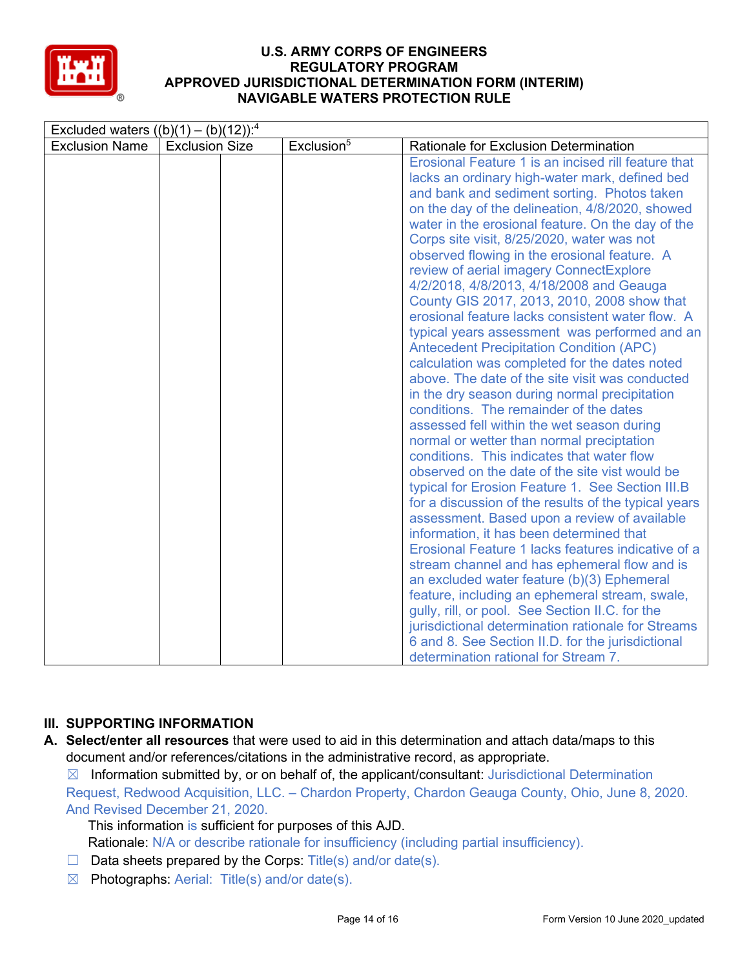

# **III. SUPPORTING INFORMATION**

**A. Select/enter all resources** that were used to aid in this determination and attach data/maps to this document and/or references/citations in the administrative record, as appropriate.

 $\boxtimes$  Information submitted by, or on behalf of, the applicant/consultant: Jurisdictional Determination Request, Redwood Acquisition, LLC. – Chardon Property, Chardon Geauga County, Ohio, June 8, 2020.

And Revised December 21, 2020. This information is sufficient for purposes of this AJD.

Rationale: N/A or describe rationale for insufficiency (including partial insufficiency).

- $\Box$  Data sheets prepared by the Corps: Title(s) and/or date(s).
- $\boxtimes$  Photographs: Aerial: Title(s) and/or date(s).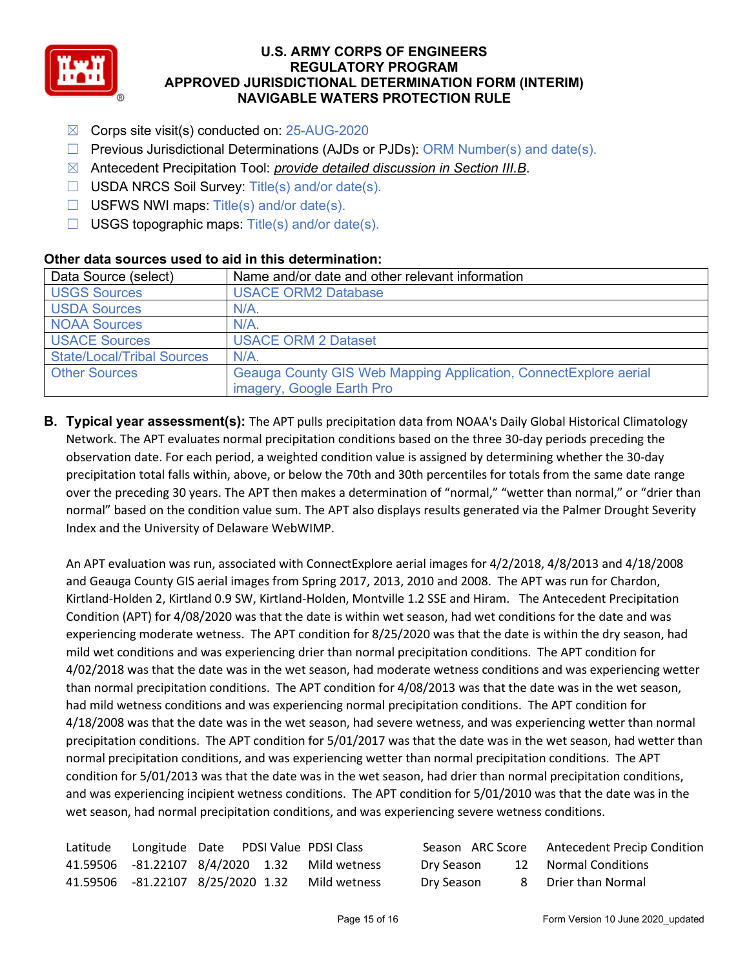

- ☒ Corps site visit(s) conducted on: 25-AUG-2020
- $\Box$  Previous Jurisdictional Determinations (AJDs or PJDs): ORM Number(s) and date(s).
- ☒ Antecedent Precipitation Tool: *provide detailed discussion in Section III.B*.
- ☐ USDA NRCS Soil Survey: Title(s) and/or date(s).
- $\Box$  USFWS NWI maps: Title(s) and/or date(s).
- $\Box$  USGS topographic maps: Title(s) and/or date(s).

| Data Source (select)              | Name and/or date and other relevant information                   |  |  |  |  |
|-----------------------------------|-------------------------------------------------------------------|--|--|--|--|
| <b>USGS Sources</b>               | <b>USACE ORM2 Database</b>                                        |  |  |  |  |
| <b>USDA Sources</b>               | $N/A$ .                                                           |  |  |  |  |
| <b>NOAA Sources</b>               | $N/A$ .                                                           |  |  |  |  |
| <b>USACE Sources</b>              | <b>USACE ORM 2 Dataset</b>                                        |  |  |  |  |
| <b>State/Local/Tribal Sources</b> | N/A                                                               |  |  |  |  |
| <b>Other Sources</b>              | Geauga County GIS Web Mapping Application, Connect Explore aerial |  |  |  |  |
|                                   | imagery, Google Earth Pro                                         |  |  |  |  |

### **Other data sources used to aid in this determination:**

**B. Typical year assessment(s):** The APT pulls precipitation data from NOAA's Daily Global Historical Climatology Network. The APT evaluates normal precipitation conditions based on the three 30-day periods preceding the observation date. For each period, a weighted condition value is assigned by determining whether the 30-day precipitation total falls within, above, or below the 70th and 30th percentiles for totals from the same date range over the preceding 30 years. The APT then makes a determination of "normal," "wetter than normal," or "drier than normal" based on the condition value sum. The APT also displays results generated via the Palmer Drought Severity Index and the University of Delaware WebWIMP.

An APT evaluation was run, associated with ConnectExplore aerial images for 4/2/2018, 4/8/2013 and 4/18/2008 and Geauga County GIS aerial images from Spring 2017, 2013, 2010 and 2008. The APT was run for Chardon, Kirtland-Holden 2, Kirtland 0.9 SW, Kirtland-Holden, Montville 1.2 SSE and Hiram. The Antecedent Precipitation Condition (APT) for 4/08/2020 was that the date is within wet season, had wet conditions for the date and was experiencing moderate wetness. The APT condition for 8/25/2020 was that the date is within the dry season, had mild wet conditions and was experiencing drier than normal precipitation conditions. The APT condition for 4/02/2018 was that the date was in the wet season, had moderate wetness conditions and was experiencing wetter than normal precipitation conditions. The APT condition for 4/08/2013 was that the date was in the wet season, had mild wetness conditions and was experiencing normal precipitation conditions. The APT condition for 4/18/2008 was that the date was in the wet season, had severe wetness, and was experiencing wetter than normal precipitation conditions. The APT condition for 5/01/2017 was that the date was in the wet season, had wetter than normal precipitation conditions, and was experiencing wetter than normal precipitation conditions. The APT condition for 5/01/2013 was that the date was in the wet season, had drier than normal precipitation conditions, and was experiencing incipient wetness conditions. The APT condition for 5/01/2010 was that the date was in the wet season, had normal precipitation conditions, and was experiencing severe wetness conditions.

| Latitude Longitude Date PDSI Value PDSI Class |  |                                                |            | Season ARC Score Antecedent Precip Condition |
|-----------------------------------------------|--|------------------------------------------------|------------|----------------------------------------------|
|                                               |  | 41.59506 -81.22107 8/4/2020 1.32 Mild wetness  | Dry Season | 12 Normal Conditions                         |
|                                               |  | 41.59506 -81.22107 8/25/2020 1.32 Mild wetness | Dry Season | 8 Drier than Normal                          |